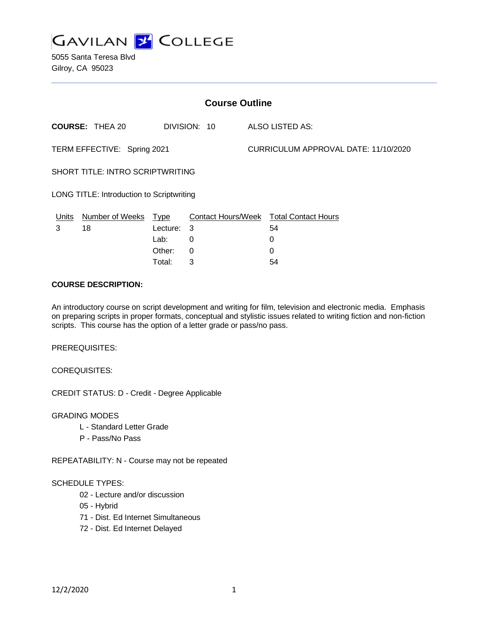

5055 Santa Teresa Blvd Gilroy, CA 95023

| <b>Course Outline</b>                     |                        |          |              |  |                                        |  |
|-------------------------------------------|------------------------|----------|--------------|--|----------------------------------------|--|
|                                           | <b>COURSE: THEA 20</b> |          | DIVISION: 10 |  | ALSO LISTED AS:                        |  |
| TERM EFFECTIVE: Spring 2021               |                        |          |              |  | CURRICULUM APPROVAL DATE: 11/10/2020   |  |
| <b>SHORT TITLE: INTRO SCRIPTWRITING</b>   |                        |          |              |  |                                        |  |
| LONG TITLE: Introduction to Scriptwriting |                        |          |              |  |                                        |  |
| Units                                     | Number of Weeks Type   |          |              |  | Contact Hours/Week Total Contact Hours |  |
| 3                                         | 18                     | Lecture: | -3           |  | 54                                     |  |
|                                           |                        | Lab:     | 0            |  | 0                                      |  |
|                                           |                        | Other:   | 0            |  | 0                                      |  |

Total: 3 54

#### **COURSE DESCRIPTION:**

An introductory course on script development and writing for film, television and electronic media. Emphasis on preparing scripts in proper formats, conceptual and stylistic issues related to writing fiction and non-fiction scripts. This course has the option of a letter grade or pass/no pass.

PREREQUISITES:

COREQUISITES:

CREDIT STATUS: D - Credit - Degree Applicable

GRADING MODES

- L Standard Letter Grade
- P Pass/No Pass

REPEATABILITY: N - Course may not be repeated

#### SCHEDULE TYPES:

- 02 Lecture and/or discussion
- 05 Hybrid
- 71 Dist. Ed Internet Simultaneous
- 72 Dist. Ed Internet Delayed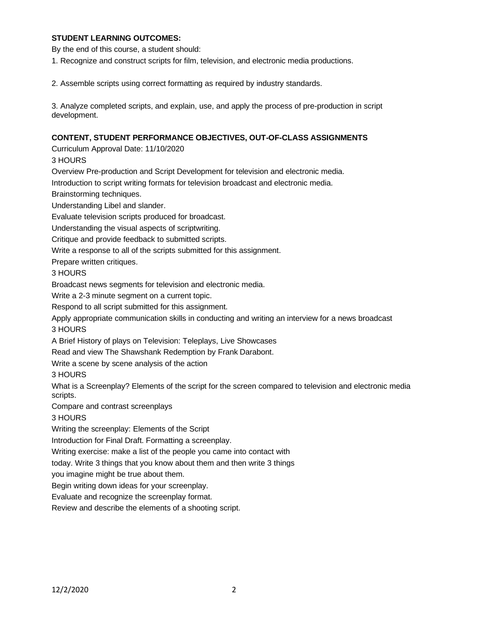### **STUDENT LEARNING OUTCOMES:**

By the end of this course, a student should:

1. Recognize and construct scripts for film, television, and electronic media productions.

2. Assemble scripts using correct formatting as required by industry standards.

3. Analyze completed scripts, and explain, use, and apply the process of pre-production in script development.

#### **CONTENT, STUDENT PERFORMANCE OBJECTIVES, OUT-OF-CLASS ASSIGNMENTS**

Curriculum Approval Date: 11/10/2020

3 HOURS

Overview Pre-production and Script Development for television and electronic media.

Introduction to script writing formats for television broadcast and electronic media.

Brainstorming techniques.

Understanding Libel and slander.

Evaluate television scripts produced for broadcast.

Understanding the visual aspects of scriptwriting.

Critique and provide feedback to submitted scripts.

Write a response to all of the scripts submitted for this assignment.

Prepare written critiques.

3 HOURS

Broadcast news segments for television and electronic media.

Write a 2-3 minute segment on a current topic.

Respond to all script submitted for this assignment.

Apply appropriate communication skills in conducting and writing an interview for a news broadcast

3 HOURS

A Brief History of plays on Television: Teleplays, Live Showcases

Read and view The Shawshank Redemption by Frank Darabont.

Write a scene by scene analysis of the action

3 HOURS

What is a Screenplay? Elements of the script for the screen compared to television and electronic media scripts.

Compare and contrast screenplays

3 HOURS

Writing the screenplay: Elements of the Script

Introduction for Final Draft. Formatting a screenplay.

Writing exercise: make a list of the people you came into contact with

today. Write 3 things that you know about them and then write 3 things

you imagine might be true about them.

Begin writing down ideas for your screenplay.

Evaluate and recognize the screenplay format.

Review and describe the elements of a shooting script.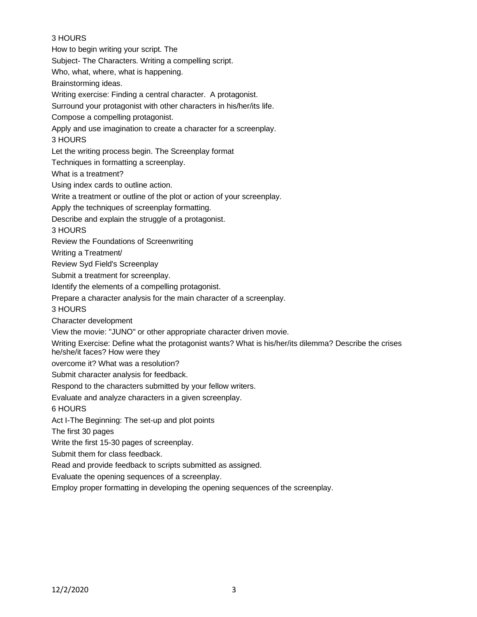# 3 HOURS

How to begin writing your script. The Subject- The Characters. Writing a compelling script. Who, what, where, what is happening. Brainstorming ideas. Writing exercise: Finding a central character. A protagonist. Surround your protagonist with other characters in his/her/its life. Compose a compelling protagonist. Apply and use imagination to create a character for a screenplay. 3 HOURS Let the writing process begin. The Screenplay format Techniques in formatting a screenplay. What is a treatment? Using index cards to outline action. Write a treatment or outline of the plot or action of your screenplay. Apply the techniques of screenplay formatting. Describe and explain the struggle of a protagonist. 3 HOURS Review the Foundations of Screenwriting Writing a Treatment/ Review Syd Field's Screenplay Submit a treatment for screenplay. Identify the elements of a compelling protagonist. Prepare a character analysis for the main character of a screenplay. 3 HOURS Character development View the movie: "JUNO" or other appropriate character driven movie. Writing Exercise: Define what the protagonist wants? What is his/her/its dilemma? Describe the crises he/she/it faces? How were they overcome it? What was a resolution? Submit character analysis for feedback. Respond to the characters submitted by your fellow writers. Evaluate and analyze characters in a given screenplay. 6 HOURS Act I-The Beginning: The set-up and plot points The first 30 pages Write the first 15-30 pages of screenplay. Submit them for class feedback. Read and provide feedback to scripts submitted as assigned. Evaluate the opening sequences of a screenplay. Employ proper formatting in developing the opening sequences of the screenplay.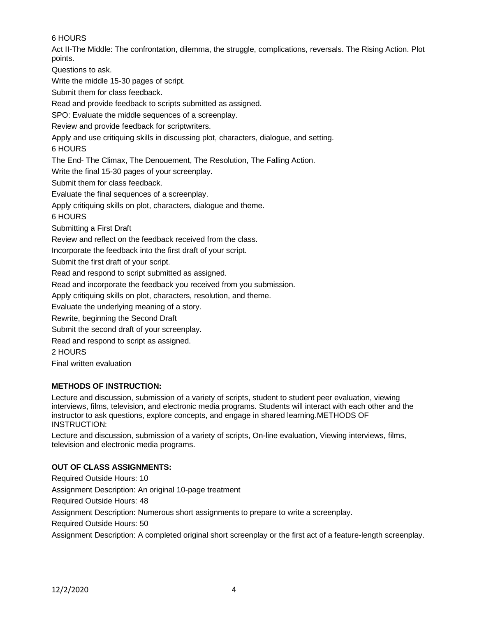# 6 HOURS

Act II-The Middle: The confrontation, dilemma, the struggle, complications, reversals. The Rising Action. Plot points.

Questions to ask.

Write the middle 15-30 pages of script.

Submit them for class feedback.

Read and provide feedback to scripts submitted as assigned.

SPO: Evaluate the middle sequences of a screenplay.

Review and provide feedback for scriptwriters.

Apply and use critiquing skills in discussing plot, characters, dialogue, and setting.

6 HOURS

The End- The Climax, The Denouement, The Resolution, The Falling Action.

Write the final 15-30 pages of your screenplay.

Submit them for class feedback.

Evaluate the final sequences of a screenplay.

Apply critiquing skills on plot, characters, dialogue and theme.

6 HOURS

Submitting a First Draft

Review and reflect on the feedback received from the class.

Incorporate the feedback into the first draft of your script.

Submit the first draft of your script.

Read and respond to script submitted as assigned.

Read and incorporate the feedback you received from you submission.

Apply critiquing skills on plot, characters, resolution, and theme.

Evaluate the underlying meaning of a story.

Rewrite, beginning the Second Draft

Submit the second draft of your screenplay.

Read and respond to script as assigned.

2 HOURS

Final written evaluation

### **METHODS OF INSTRUCTION:**

Lecture and discussion, submission of a variety of scripts, student to student peer evaluation, viewing interviews, films, television, and electronic media programs. Students will interact with each other and the instructor to ask questions, explore concepts, and engage in shared learning.METHODS OF INSTRUCTION:

Lecture and discussion, submission of a variety of scripts, On-line evaluation, Viewing interviews, films, television and electronic media programs.

# **OUT OF CLASS ASSIGNMENTS:**

Required Outside Hours: 10 Assignment Description: An original 10-page treatment Required Outside Hours: 48 Assignment Description: Numerous short assignments to prepare to write a screenplay. Required Outside Hours: 50 Assignment Description: A completed original short screenplay or the first act of a feature-length screenplay.